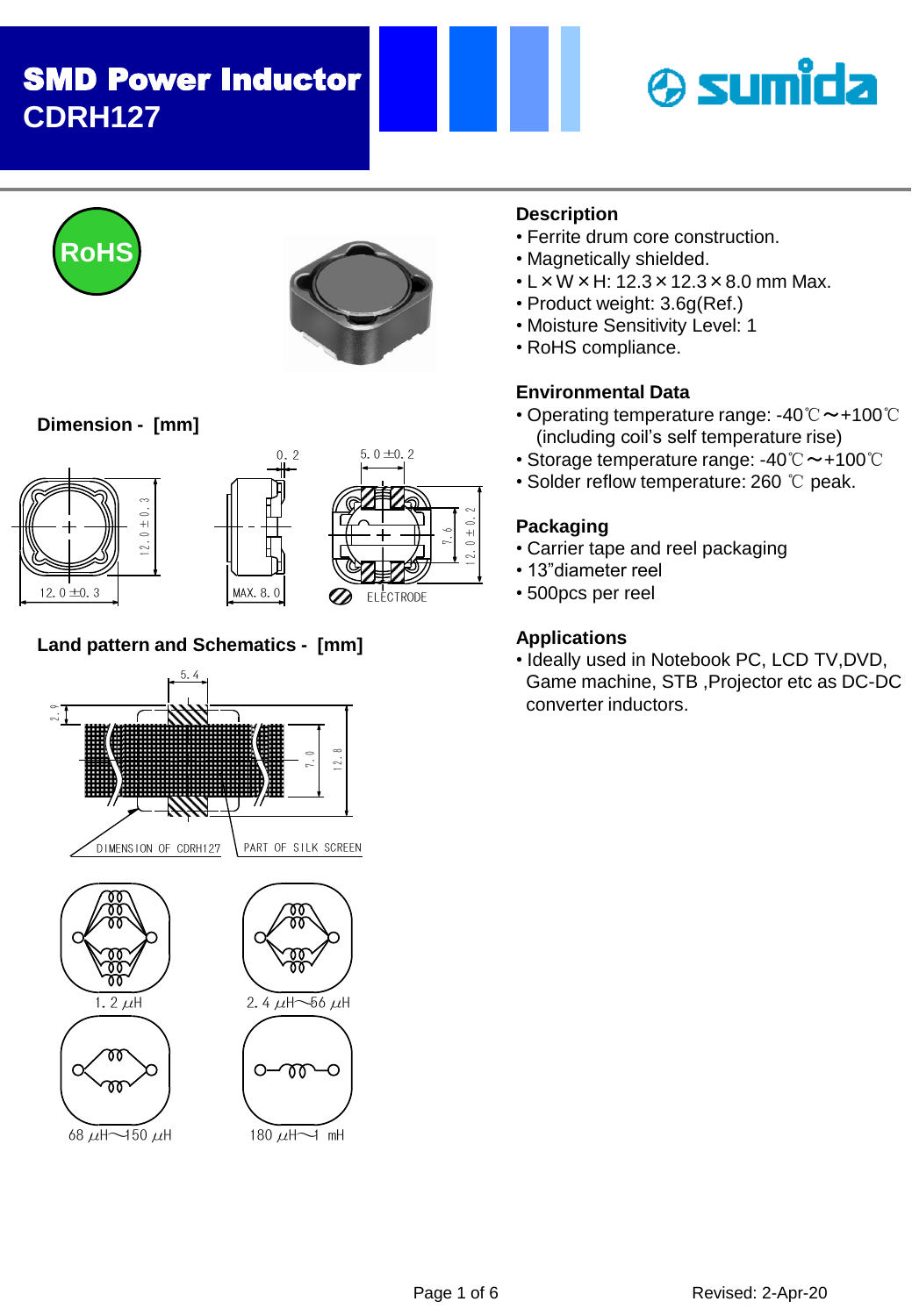# SMD Power Inductor **CDRH127**







# **Dimension - [mm]**





 $0.2$ 



# **Land pattern and Schematics - [mm]**



# **Description**

- Ferrite drum core construction.
- Magnetically shielded.
- $\cdot$  L  $\times$  W  $\times$  H: 12.3  $\times$  12.3  $\times$  8.0 mm Max.
- Product weight: 3.6g(Ref.)
- Moisture Sensitivity Level: 1
- RoHS compliance.

## **Environmental Data**

- Operating temperature range: -40℃~+100℃ (including coil's self temperature rise)
- Storage temperature range: -40℃~+100℃
- Solder reflow temperature: 260 ℃ peak.

### **Packaging**

- Carrier tape and reel packaging
- 13"diameter reel
- 500pcs per reel

## **Applications**

• Ideally used in Notebook PC, LCD TV,DVD, Game machine, STB ,Projector etc as DC-DC converter inductors.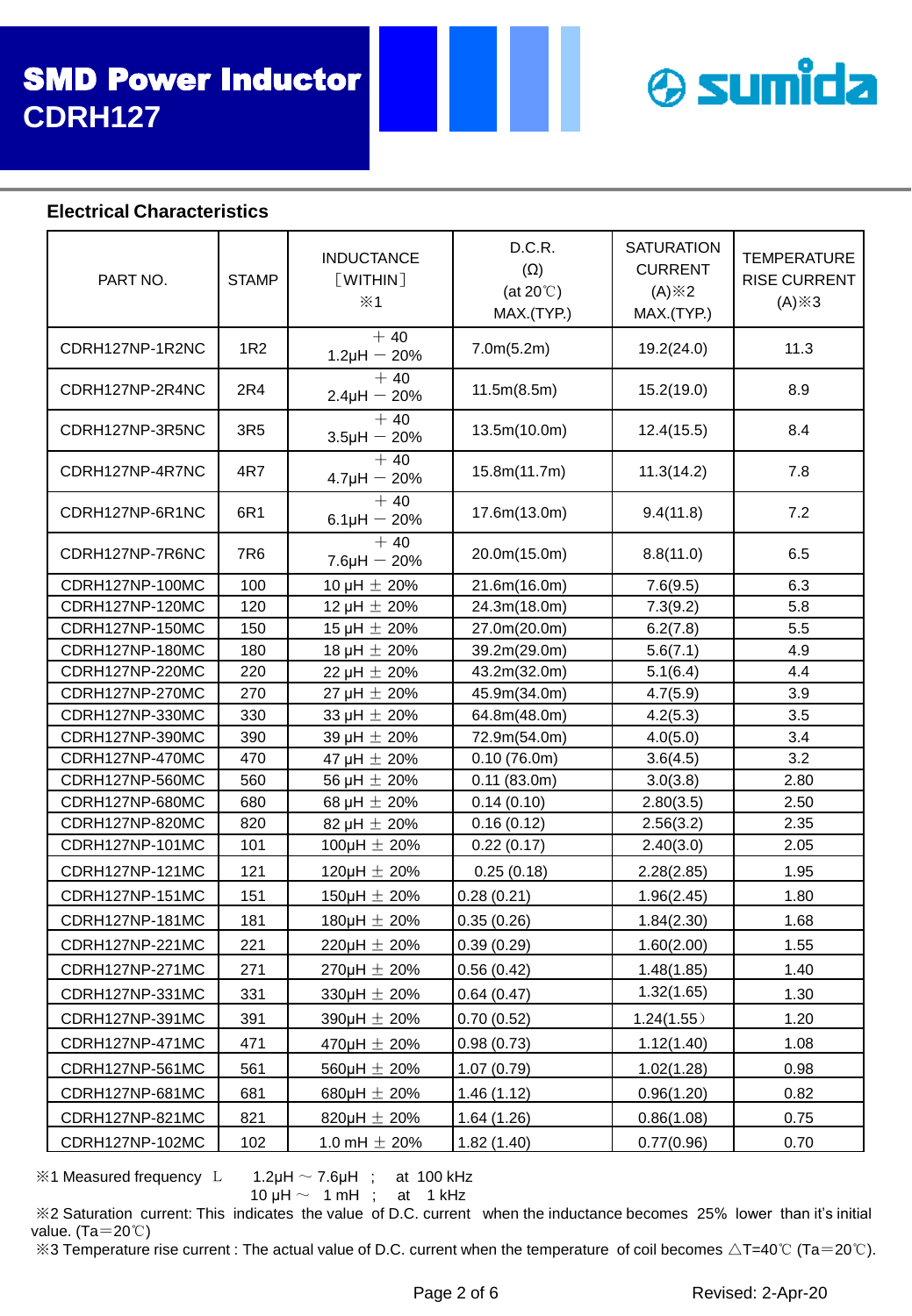

### **Electrical Characteristics**

| PART NO.        | <b>STAMP</b> | <b>INDUCTANCE</b><br>[WHTHIN]<br>$\mathsf{\divideontimes}1$ | D.C.R.<br>$(\Omega)$<br>(at $20^{\circ}$ C)<br>MAX.(TYP.) | <b>SATURATION</b><br><b>CURRENT</b><br>$(A)$ $\& 2$<br>MAX.(TYP.) | <b>TEMPERATURE</b><br><b>RISE CURRENT</b><br>$(A) \times 3$ |
|-----------------|--------------|-------------------------------------------------------------|-----------------------------------------------------------|-------------------------------------------------------------------|-------------------------------------------------------------|
| CDRH127NP-1R2NC | 1R2          | $+40$<br>$1.2\mu H - 20\%$                                  | 7.0m(5.2m)                                                | 19.2(24.0)                                                        | 11.3                                                        |
| CDRH127NP-2R4NC | 2R4          | $+40$<br>$2.4\mu H - 20\%$                                  | 11.5m(8.5m)                                               | 15.2(19.0)                                                        | 8.9                                                         |
| CDRH127NP-3R5NC | 3R5          | $+40$<br>$3.5\mu H - 20\%$                                  | 13.5m(10.0m)                                              | 12.4(15.5)                                                        | 8.4                                                         |
| CDRH127NP-4R7NC | 4R7          | $+40$<br>$4.7\mu H - 20\%$                                  | 15.8m(11.7m)                                              | 11.3(14.2)                                                        | 7.8                                                         |
| CDRH127NP-6R1NC | 6R1          | $+40$<br>$6.1 \mu H - 20\%$                                 | 17.6m(13.0m)                                              | 9.4(11.8)                                                         | 7.2                                                         |
| CDRH127NP-7R6NC | 7R6          | $+40$<br>$7.6\mu H - 20\%$                                  | 20.0m(15.0m)                                              | 8.8(11.0)                                                         | 6.5                                                         |
| CDRH127NP-100MC | 100          | 10 µH $\pm$ 20%                                             | 21.6m(16.0m)                                              | 7.6(9.5)                                                          | 6.3                                                         |
| CDRH127NP-120MC | 120          | 12 µH $\pm$ 20%                                             | 24.3m(18.0m)                                              | 7.3(9.2)                                                          | 5.8                                                         |
| CDRH127NP-150MC | 150          | 15 µH $\pm$ 20%                                             | 27.0m(20.0m)                                              | 6.2(7.8)                                                          | 5.5                                                         |
| CDRH127NP-180MC | 180          | 18 µH $\pm$ 20%                                             | 39.2m(29.0m)                                              | 5.6(7.1)                                                          | 4.9                                                         |
| CDRH127NP-220MC | 220          | 22 µH $\pm$ 20%                                             | 43.2m(32.0m)                                              | 5.1(6.4)                                                          | 4.4                                                         |
| CDRH127NP-270MC | 270          | 27 µH $\pm$ 20%                                             | 45.9m(34.0m)                                              | 4.7(5.9)                                                          | 3.9                                                         |
| CDRH127NP-330MC | 330          | 33 µH $\pm$ 20%                                             | 64.8m(48.0m)                                              | 4.2(5.3)                                                          | 3.5                                                         |
| CDRH127NP-390MC | 390          | 39 µH $\pm$ 20%                                             | 72.9m(54.0m)                                              | 4.0(5.0)                                                          | 3.4                                                         |
| CDRH127NP-470MC | 470          | 47 µH $\pm$ 20%                                             | 0.10(76.0m)                                               | 3.6(4.5)                                                          | 3.2                                                         |
| CDRH127NP-560MC | 560          | 56 µH $\pm$ 20%                                             | 0.11(83.0m)                                               | 3.0(3.8)                                                          | 2.80                                                        |
| CDRH127NP-680MC | 680          | 68 µH $\pm$ 20%                                             | 0.14(0.10)                                                | 2.80(3.5)                                                         | 2.50                                                        |
| CDRH127NP-820MC | 820          | 82 µH $\pm$ 20%                                             | 0.16(0.12)                                                | 2.56(3.2)                                                         | 2.35                                                        |
| CDRH127NP-101MC | 101          | 100µH $\pm$ 20%                                             | 0.22(0.17)                                                | 2.40(3.0)                                                         | 2.05                                                        |
| CDRH127NP-121MC | 121          | 120 $\mu$ H $\pm$ 20%                                       | 0.25(0.18)                                                | 2.28(2.85)                                                        | 1.95                                                        |
| CDRH127NP-151MC | 151          | 150 $\mu$ H $\pm$ 20%                                       | 0.28(0.21)                                                | 1.96(2.45)                                                        | 1.80                                                        |
| CDRH127NP-181MC | 181          | 180µH $\pm$ 20%                                             | 0.35(0.26)                                                | 1.84(2.30)                                                        | 1.68                                                        |
| CDRH127NP-221MC | 221          | 220µH $\pm$ 20%                                             | 0.39(0.29)                                                | 1.60(2.00)                                                        | 1.55                                                        |
| CDRH127NP-271MC | 271          | $270 \mu H \pm 20\%$                                        | 0.56(0.42)                                                | 1.48(1.85)                                                        | 1.40                                                        |
| CDRH127NP-331MC | 331          | 330µH $\pm$ 20%                                             | 0.64(0.47)                                                | 1.32(1.65)                                                        | 1.30                                                        |
| CDRH127NP-391MC | 391          | 390µH $\pm$ 20%                                             | 0.70(0.52)                                                | 1.24(1.55)                                                        | 1.20                                                        |
| CDRH127NP-471MC | 471          | 470 $\mu$ H $\pm$ 20%                                       | 0.98(0.73)                                                | 1.12(1.40)                                                        | 1.08                                                        |
| CDRH127NP-561MC | 561          | 560µH $\pm$ 20%                                             | 1.07(0.79)                                                | 1.02(1.28)                                                        | 0.98                                                        |
|                 |              |                                                             |                                                           |                                                                   |                                                             |
| CDRH127NP-681MC | 681          | 680µH $\pm$ 20%                                             | 1.46(1.12)                                                | 0.96(1.20)                                                        | 0.82                                                        |
| CDRH127NP-821MC | 821          | 820µH $\pm$ 20%                                             | 1.64(1.26)                                                | 0.86(1.08)                                                        | 0.75                                                        |
| CDRH127NP-102MC | 102          | 1.0 mH $\pm$ 20%                                            | 1.82(1.40)                                                | 0.77(0.96)                                                        | 0.70                                                        |

 $\%$ 1 Measured frequency L 1.2μH  $\sim$  7.6μH ; at 100 kHz

10  $\mu$ H  $\sim$  1 mH ; at 1 kHz

※2 Saturation current: This indicates the value of D.C. current when the inductance becomes 25% lower than it's initial value. (Ta=20℃)

 $\%3$  Temperature rise current : The actual value of D.C. current when the temperature of coil becomes  $\triangle T=40^{\circ}C$  (Ta=20°C).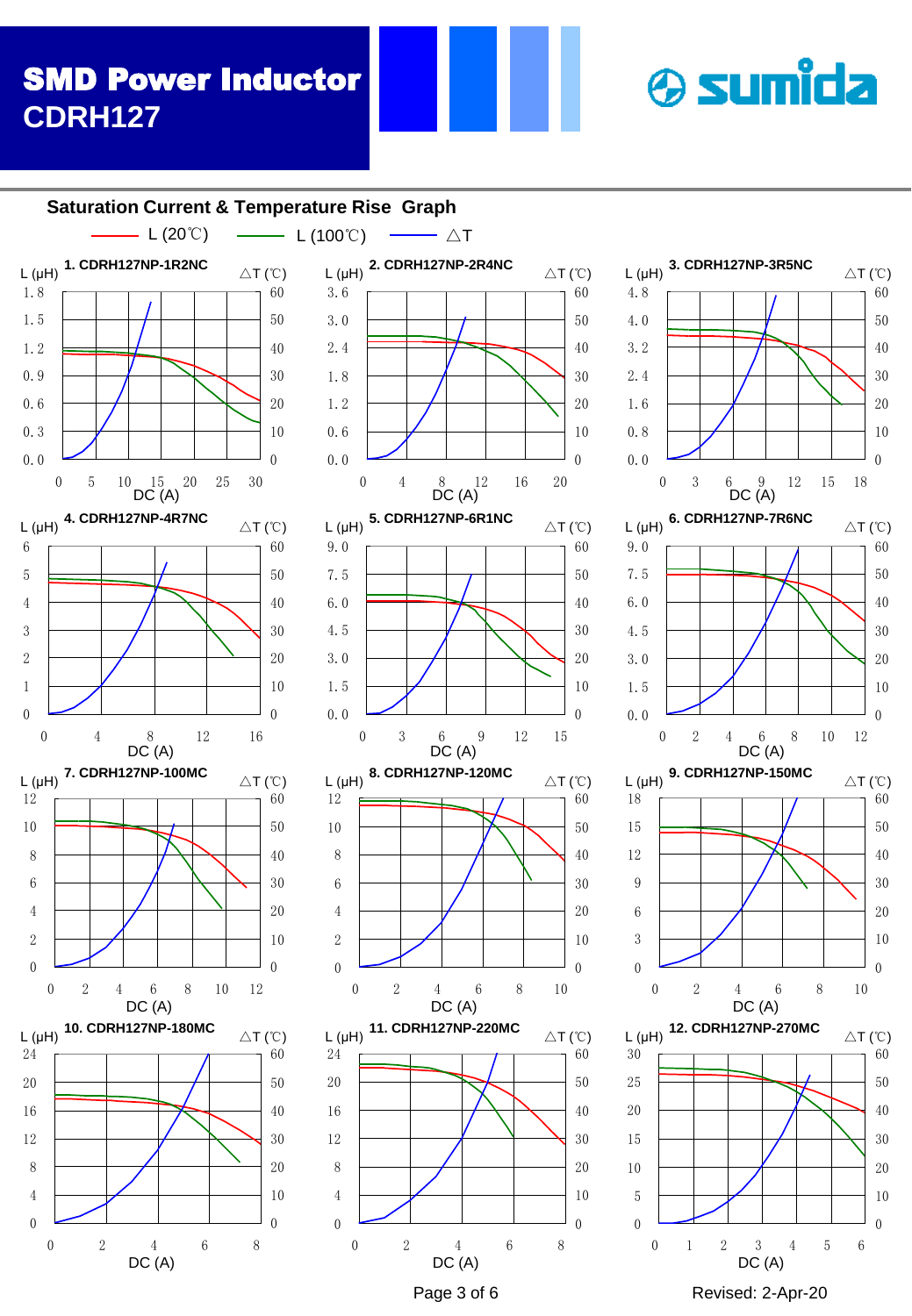# **& sumida**

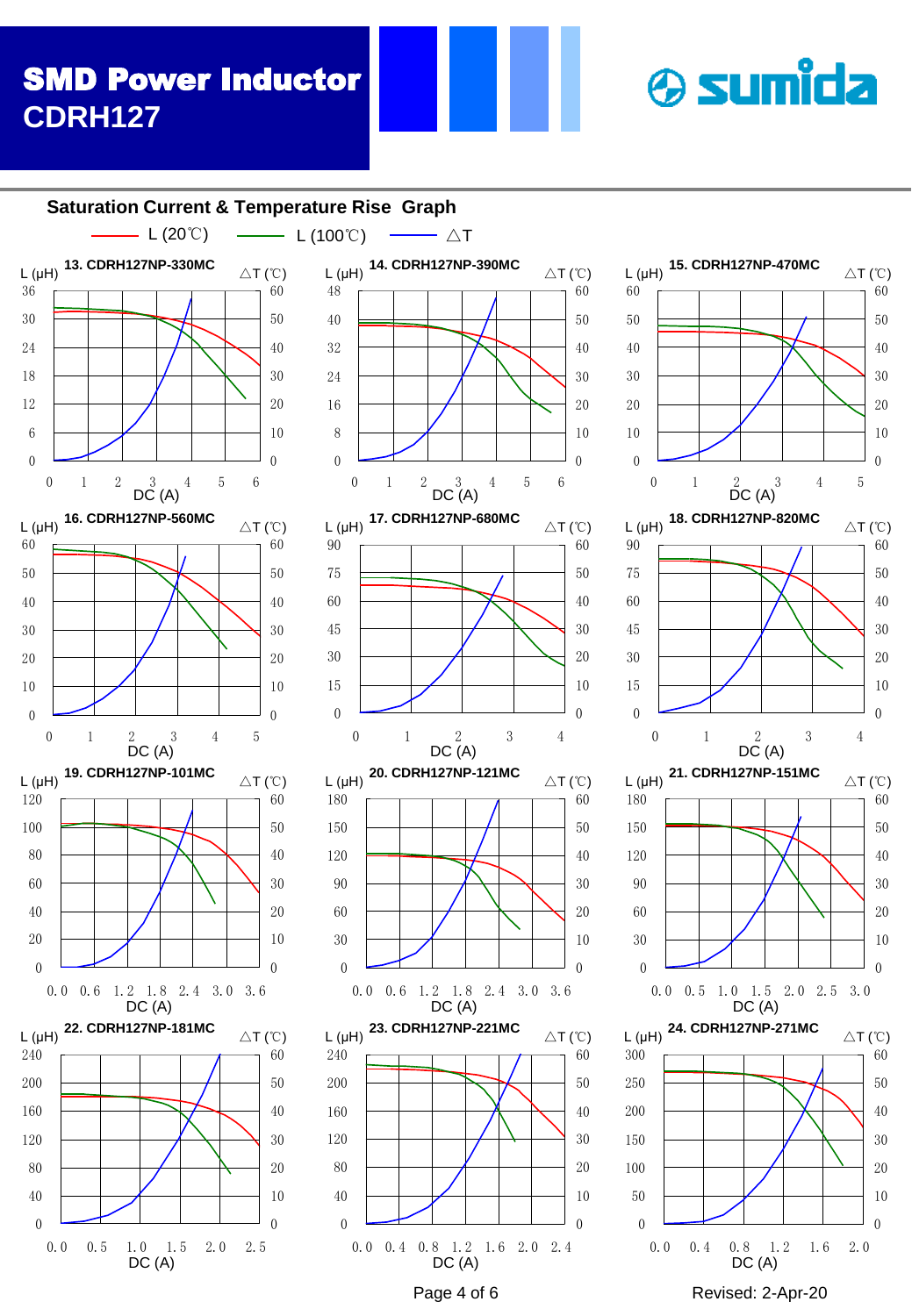# SMD Power Inductor **CDRH127**

#### $\begin{array}{ccccccc}\n0.8 & 1.2 & 1.6 & 2.0 & 2.4 \\
\hline\nDC (A) & & & & \n\end{array}$   $\begin{array}{ccccccc}\n0.0 & 0.4 & 0.8 & 1.2 & 1.6 \\
DC (A) & & & \n\end{array}$   $\begin{array}{ccccccc}\n0.0 & 0.4 & 0.8 & 1.2 & 1.6 \\
DC (A) & & & \n\end{array}$  0.0 0.4 0.8 1.2 1.6 2.0 0.0 0.4 0.8 1.2 1.6 2.0 2.4 0.0 0.5 1.0 1.5 2.0 2.5  $\Omega$   $\Omega$  0.0 0.5 1.0 1.5 2.0 2.5 3.0  $\Omega$  0.0 0.6 1.2 1.8 2.4 3.0 3.6  $\Omega$   $\Omega$  0.0 0.6 1.2 1.8 2.4 3.0 3.6  $\Omega$   $\theta$  1 2 3 4  $\theta$  1 2 3 4  $\Omega$  1 2 3 4 5  $\overline{0}$  1 2 3 4 5 0 1 2  $D C (A)$  4 5 6 0 1 2  $\frac{3}{\text{DC (A)}}$  4 5 6 **13. CDRH127NP-330MC** L (μH) △T (℃) **14. CDRH127NP-390MC** L (μH) △T (℃) **15. CDRH127NP-470MC** L (μH) △T (℃)  $\overline{D}C$  (A)  $L(\mu H)$  $DC(A)$ **17. CDRH127NP-680MC** L (μH) △T (℃) **18. CDRH127NP-820MC** L (μH) △T (℃)  $D\overline{C}$  (A) **19. CDRH127NP-101MC** L (μH) △T (℃) **20. CDRH127NP-121MC** L (μH) △T (℃) DC (A) **21. CDRH127NP-151MC**  $L(\mu H)$  <sup>21.</sup> CDRH12/NP-131MC  $\Delta T(\text{C})$ DC (A) **16. CDRH127NP-560MC** △T (℃) DC (A) DC (A) **22. CDRH127NP-181MC** L (μH) △T (℃)  $DC(A)$ **23. CDRH127NP-221MC** L (μH) △T (℃)  $DC(A)$ **24. CDRH127NP-271MC** L (μH) △T (℃) DC (A) **Saturation Current & Temperature Rise Graph**  $-L(20^{\circ}\text{C})$   $\longrightarrow$   $L(100^{\circ}\text{C})$   $\longrightarrow$   $\triangle T$

**& sumida**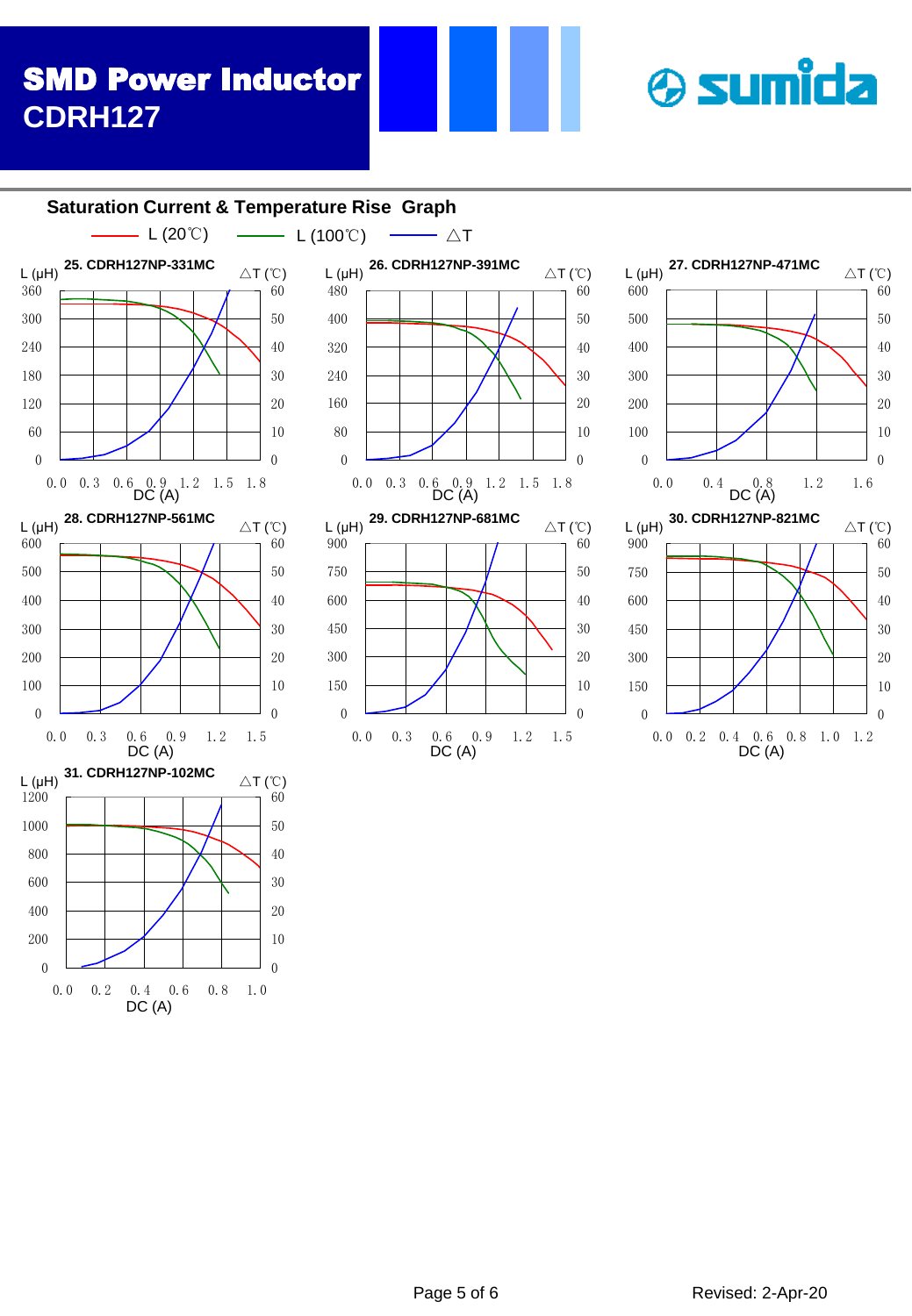# SMD Power Inductor **CDRH127**

#### 0<br>
0<br>
0<br>
0<br>
DC(A)<br>
DC(A)<br>
Page 5 of 6<br>
Revised: 2-Apr-20 0.0 0.2 0.4 0.6 0.8 1.0  $\Omega$   $\theta$  0.0 0.3 0.6 0.9 1.2 1.5 0.0 0.3 0.6 0.9 1.2 1.5  $\theta$  0.0 0.3 0.6 0.9 1.2 1.5 1.8<br>DC (A) **Saturation Current & Temperature Rise Graph 25. CDRH127NP-331MC** L (μH) △T (℃)  $L(\mu H)$ DC (A) **31. CDRH127NP-102MC** L (μH) △T (℃) **28. CDRH127NP-561MC** △T (℃) DC (A) L (20℃)  $\longrightarrow$  L (100℃)  $\longrightarrow \triangle T$

DC (A)





**& sumida**